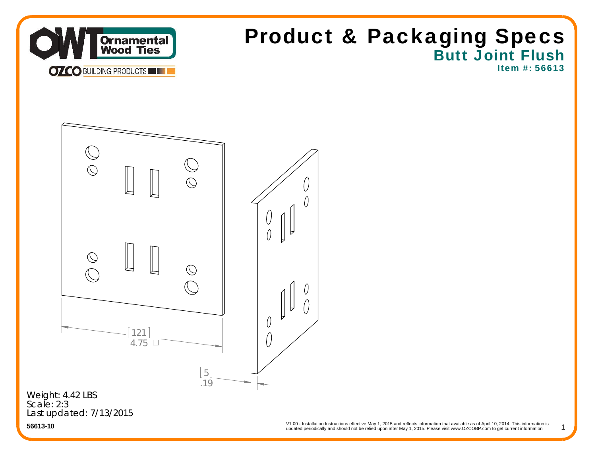

## Butt Joint Flush Item #: 56613Product & Packaging Specs

 $\mathbb{O}$  $\bigcirc$  $\bigcirc$  $\bigcirc$ 121 $4.75$   $\Box$ 5 .19

Last updated: 7/13/2015 Weight: 4.42 LBS Scale: 2:3

updated periodically and should not be relied upon after May 1, 2015. Please visit www.OZCOBP.com to get current information V1.00 - Installation Instructions effective May 1, 2015 and reflects information that available as of April 10, 2014. This information is<br>
undated periodically and should not be relied upon after May 1, 2015. Please visit

1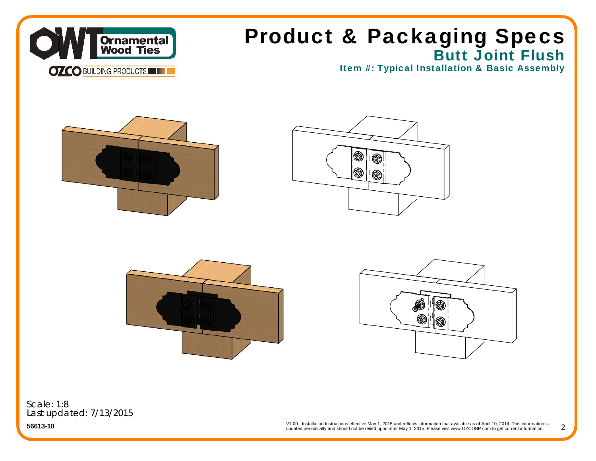

## Butt Joint Flush Product & Packaging Specs

Item #: Typical Installation & Basic Assembly









Scale: 1:8Last updated: 7/13/2015

**56613-10**

V1.00 - Installation Instructions effective May 1, 2015 and reflects information that available as of April 10, 2014. This information is updated periodically and should not be relied upon after May 1, 2015. Please visit www.OZCOBP.com to get current information 2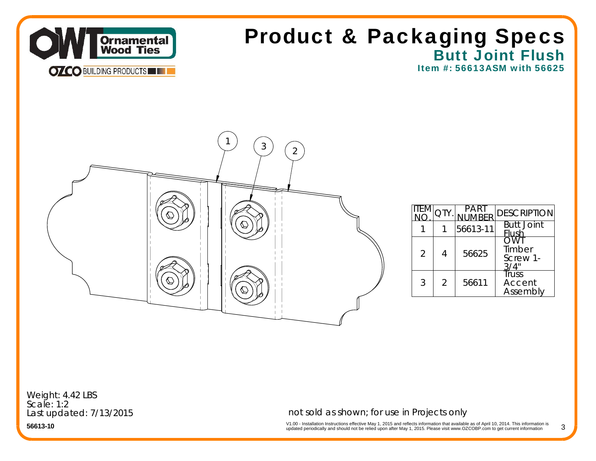

## Butt Joint Flush Item #: 56613ASM with 56625Product & Packaging Specs



|                |                |          | <b>DESCRIPTION</b>          |
|----------------|----------------|----------|-----------------------------|
|                |                | 56613-11 | <b>Butt Joint</b><br>lush   |
| $\mathfrak{D}$ |                | 56625    | Timber<br>Screw 1-          |
| 3              | $\mathfrak{D}$ | 56611    | Truss<br>Accent<br>Assembly |

Weight: 4.42 LBS Scale: 1:2Last updated: 7/13/2015

### not sold as shown; for use in Projects only

V1.00 - Installation Instructions effective May 1, 2015 and reflects information that available as of April 10, 2014. This information is<br>updated periodically and should not be relied upon after May 1, 2015. Please visit w 3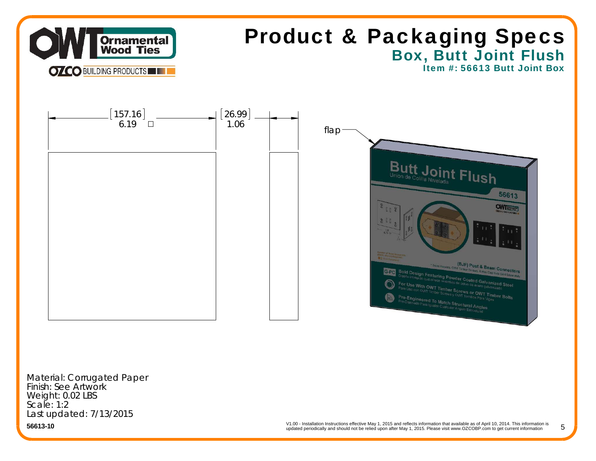

# Box, Butt Joint Flush Product & Packaging Specs

Item #: 56613 Butt Joint Box



Material: Corrugated Paper Finish: See Artwork Weight: 0.02 LBS Scale: 1:2Last updated: 7/13/2015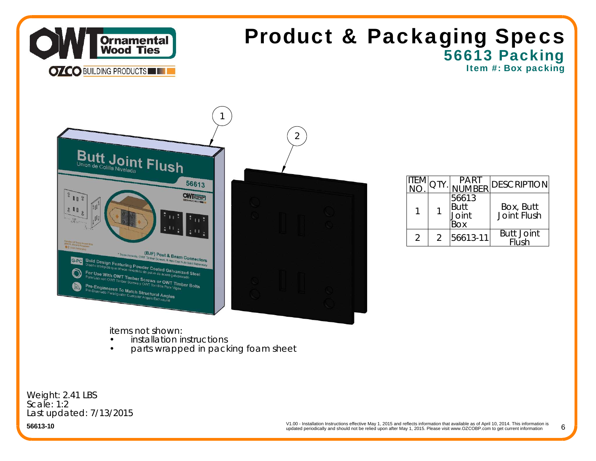

## 56613 Packing Item #: Box packing Product & Packaging Specs

 $I$ 



|  | PART<br><b>IMRER</b>                 | <b>IDESCRIPTION</b>        |
|--|--------------------------------------|----------------------------|
|  | 56613<br><b>Butt</b><br>Joint<br>Box | Box, Butt<br>Joint Flush   |
|  | 56613-11                             | <b>Butt Joint</b><br>Flush |

items not shown:

- **•** installation instructions •
- •parts wrapped in packing foam sheet

Weight: 2.41 LBS Scale: 1:2Last updated: 7/13/2015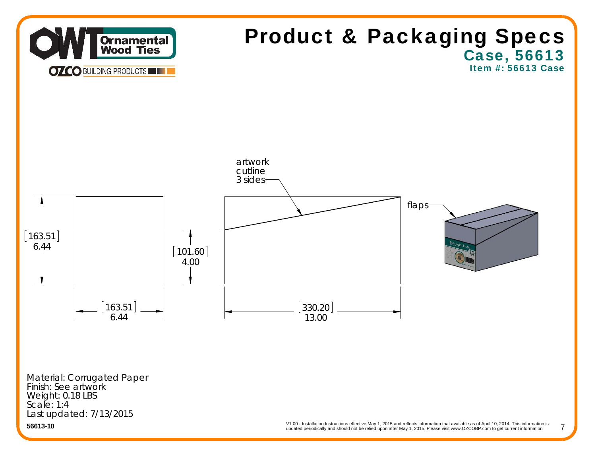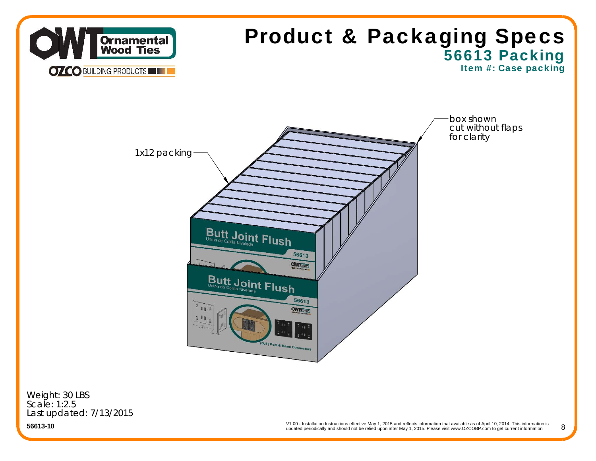

Last updated: 7/13/2015